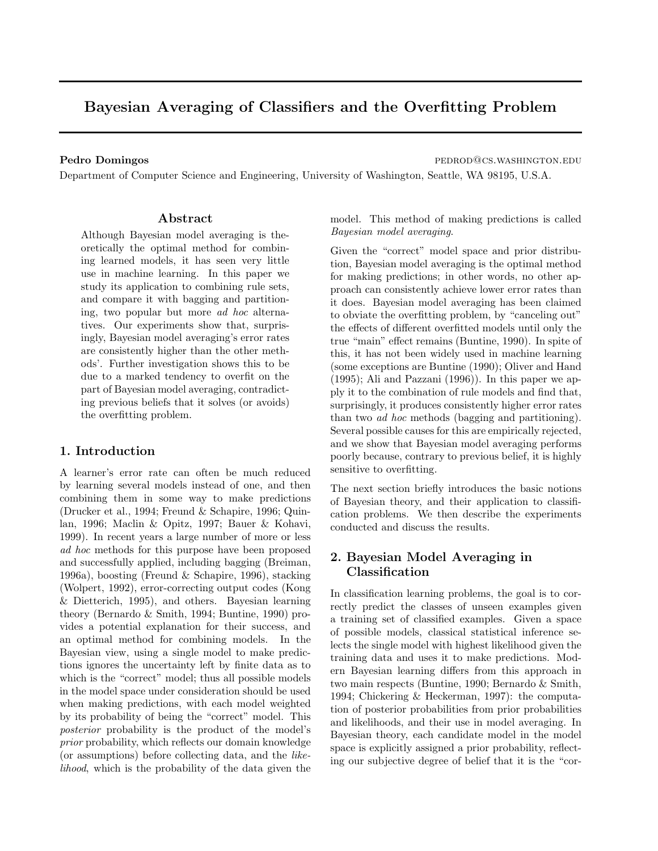# Bayesian Averaging of Classifiers and the Overfitting Problem

Pedro Domingos **pedro Domingos** pedrodos estas pedrodos estas pedrodos estas pedrodos estas pedrodos estas pedro

Department of Computer Science and Engineering, University of Washington, Seattle, WA 98195, U.S.A.

#### Abstract

Although Bayesian model averaging is theoretically the optimal method for combining learned models, it has seen very little use in machine learning. In this paper we study its application to combining rule sets, and compare it with bagging and partitioning, two popular but more ad hoc alternatives. Our experiments show that, surprisingly, Bayesian model averaging's error rates are consistently higher than the other methods'. Further investigation shows this to be due to a marked tendency to overfit on the part of Bayesian model averaging, contradicting previous beliefs that it solves (or avoids) the overfitting problem.

#### 1. Introduction

A learner's error rate can often be much reduced by learning several models instead of one, and then combining them in some way to make predictions (Drucker et al., 1994; Freund & Schapire, 1996; Quinlan, 1996; Maclin & Opitz, 1997; Bauer & Kohavi, 1999). In recent years a large number of more or less ad hoc methods for this purpose have been proposed and successfully applied, including bagging (Breiman, 1996a), boosting (Freund & Schapire, 1996), stacking (Wolpert, 1992), error-correcting output codes (Kong & Dietterich, 1995), and others. Bayesian learning theory (Bernardo & Smith, 1994; Buntine, 1990) provides a potential explanation for their success, and an optimal method for combining models. In the Bayesian view, using a single model to make predictions ignores the uncertainty left by finite data as to which is the "correct" model; thus all possible models in the model space under consideration should be used when making predictions, with each model weighted by its probability of being the "correct" model. This posterior probability is the product of the model's prior probability, which reflects our domain knowledge (or assumptions) before collecting data, and the likelihood, which is the probability of the data given the model. This method of making predictions is called Bayesian model averaging.

Given the "correct" model space and prior distribution, Bayesian model averaging is the optimal method for making predictions; in other words, no other approach can consistently achieve lower error rates than it does. Bayesian model averaging has been claimed to obviate the overfitting problem, by "canceling out" the effects of different overfitted models until only the true "main" effect remains (Buntine, 1990). In spite of this, it has not been widely used in machine learning (some exceptions are Buntine (1990); Oliver and Hand (1995); Ali and Pazzani (1996)). In this paper we apply it to the combination of rule models and find that, surprisingly, it produces consistently higher error rates than two ad hoc methods (bagging and partitioning). Several possible causes for this are empirically rejected, and we show that Bayesian model averaging performs poorly because, contrary to previous belief, it is highly sensitive to overfitting.

The next section briefly introduces the basic notions of Bayesian theory, and their application to classification problems. We then describe the experiments conducted and discuss the results.

#### 2. Bayesian Model Averaging in Classification

In classification learning problems, the goal is to correctly predict the classes of unseen examples given a training set of classified examples. Given a space of possible models, classical statistical inference selects the single model with highest likelihood given the training data and uses it to make predictions. Modern Bayesian learning differs from this approach in two main respects (Buntine, 1990; Bernardo & Smith, 1994; Chickering & Heckerman, 1997): the computation of posterior probabilities from prior probabilities and likelihoods, and their use in model averaging. In Bayesian theory, each candidate model in the model space is explicitly assigned a prior probability, reflecting our subjective degree of belief that it is the "cor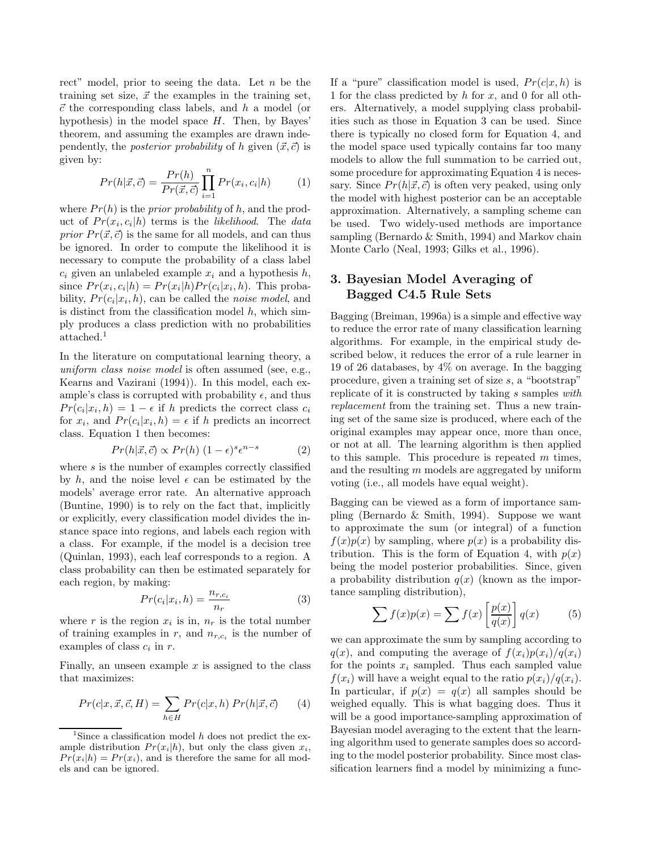rect" model, prior to seeing the data. Let  $n$  be the training set size,  $\vec{x}$  the examples in the training set,  $\vec{c}$  the corresponding class labels, and h a model (or hypothesis) in the model space  $H$ . Then, by Bayes' theorem, and assuming the examples are drawn independently, the *posterior probability* of h given  $(\vec{x}, \vec{c})$  is given by:

$$
Pr(h|\vec{x}, \vec{c}) = \frac{Pr(h)}{Pr(\vec{x}, \vec{c})} \prod_{i=1}^{n} Pr(x_i, c_i | h)
$$
(1)

where  $Pr(h)$  is the *prior probability* of h, and the product of  $Pr(x_i, c_i | h)$  terms is the *likelihood*. The *data* prior  $Pr(\vec{x}, \vec{c})$  is the same for all models, and can thus be ignored. In order to compute the likelihood it is necessary to compute the probability of a class label  $c_i$  given an unlabeled example  $x_i$  and a hypothesis  $h$ , since  $Pr(x_i, c_i | h) = Pr(x_i | h) Pr(c_i | x_i, h)$ . This probability,  $Pr(c_i|x_i, h)$ , can be called the *noise model*, and is distinct from the classification model  $h$ , which simply produces a class prediction with no probabilities attached.<sup>1</sup>

In the literature on computational learning theory, a uniform class noise model is often assumed (see, e.g., Kearns and Vazirani (1994)). In this model, each example's class is corrupted with probability  $\epsilon$ , and thus  $Pr(c_i|x_i, h) = 1 - \epsilon$  if h predicts the correct class  $c_i$ for  $x_i$ , and  $Pr(c_i|x_i, h) = \epsilon$  if h predicts an incorrect class. Equation 1 then becomes:

$$
Pr(h|\vec{x}, \vec{c}) \propto Pr(h) \ (1 - \epsilon)^s \epsilon^{n - s} \tag{2}
$$

where s is the number of examples correctly classified by h, and the noise level  $\epsilon$  can be estimated by the models' average error rate. An alternative approach (Buntine, 1990) is to rely on the fact that, implicitly or explicitly, every classification model divides the instance space into regions, and labels each region with a class. For example, if the model is a decision tree (Quinlan, 1993), each leaf corresponds to a region. A class probability can then be estimated separately for each region, by making:

$$
Pr(c_i|x_i, h) = \frac{n_{r,c_i}}{n_r}
$$
\n(3)

where r is the region  $x_i$  is in,  $n_r$  is the total number of training examples in r, and  $n_{r,c_i}$  is the number of examples of class  $c_i$  in  $r$ .

Finally, an unseen example  $x$  is assigned to the class that maximizes:

$$
Pr(c|x, \vec{x}, \vec{c}, H) = \sum_{h \in H} Pr(c|x, h) Pr(h|\vec{x}, \vec{c})
$$
 (4)

If a "pure" classification model is used,  $Pr(c|x, h)$  is 1 for the class predicted by  $h$  for  $x$ , and 0 for all others. Alternatively, a model supplying class probabilities such as those in Equation 3 can be used. Since there is typically no closed form for Equation 4, and the model space used typically contains far too many models to allow the full summation to be carried out, some procedure for approximating Equation 4 is necessary. Since  $Pr(h|\vec{x}, \vec{c})$  is often very peaked, using only the model with highest posterior can be an acceptable approximation. Alternatively, a sampling scheme can be used. Two widely-used methods are importance sampling (Bernardo & Smith, 1994) and Markov chain Monte Carlo (Neal, 1993; Gilks et al., 1996).

# 3. Bayesian Model Averaging of Bagged C4.5 Rule Sets

Bagging (Breiman, 1996a) is a simple and effective way to reduce the error rate of many classification learning algorithms. For example, in the empirical study described below, it reduces the error of a rule learner in 19 of 26 databases, by 4% on average. In the bagging procedure, given a training set of size s, a "bootstrap" replicate of it is constructed by taking s samples with replacement from the training set. Thus a new training set of the same size is produced, where each of the original examples may appear once, more than once, or not at all. The learning algorithm is then applied to this sample. This procedure is repeated  $m$  times, and the resulting m models are aggregated by uniform voting (i.e., all models have equal weight).

Bagging can be viewed as a form of importance sampling (Bernardo & Smith, 1994). Suppose we want to approximate the sum (or integral) of a function  $f(x)p(x)$  by sampling, where  $p(x)$  is a probability distribution. This is the form of Equation 4, with  $p(x)$ being the model posterior probabilities. Since, given a probability distribution  $q(x)$  (known as the importance sampling distribution),

$$
\sum f(x)p(x) = \sum f(x)\left[\frac{p(x)}{q(x)}\right]q(x) \tag{5}
$$

we can approximate the sum by sampling according to  $q(x)$ , and computing the average of  $f(x_i)p(x_i)/q(x_i)$ for the points  $x_i$  sampled. Thus each sampled value  $f(x_i)$  will have a weight equal to the ratio  $p(x_i)/q(x_i)$ . In particular, if  $p(x) = q(x)$  all samples should be weighed equally. This is what bagging does. Thus it will be a good importance-sampling approximation of Bayesian model averaging to the extent that the learning algorithm used to generate samples does so according to the model posterior probability. Since most classification learners find a model by minimizing a func-

<sup>&</sup>lt;sup>1</sup>Since a classification model  $h$  does not predict the example distribution  $Pr(x_i|h)$ , but only the class given  $x_i$ ,  $Pr(x_i|h) = Pr(x_i)$ , and is therefore the same for all models and can be ignored.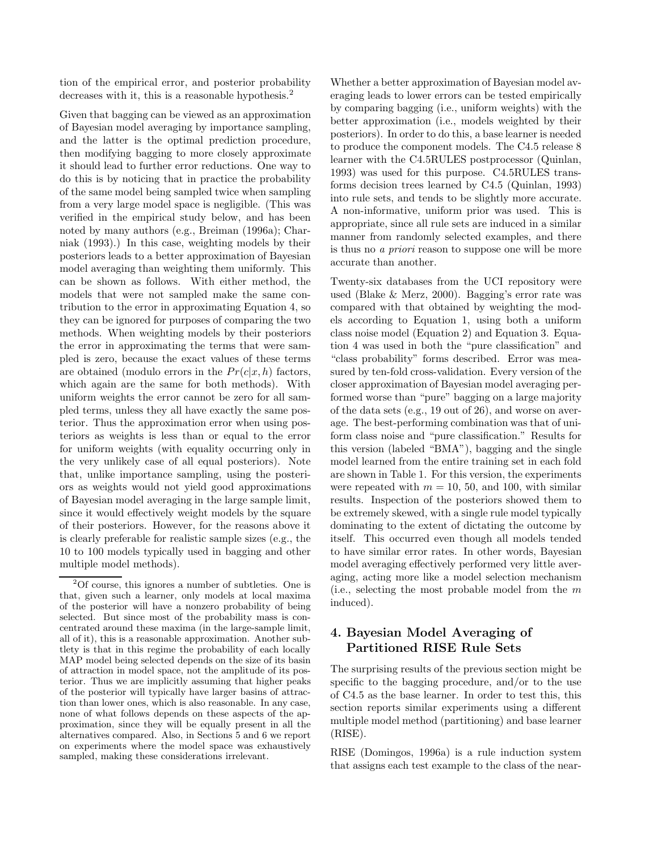tion of the empirical error, and posterior probability decreases with it, this is a reasonable hypothesis.<sup>2</sup>

Given that bagging can be viewed as an approximation of Bayesian model averaging by importance sampling, and the latter is the optimal prediction procedure, then modifying bagging to more closely approximate it should lead to further error reductions. One way to do this is by noticing that in practice the probability of the same model being sampled twice when sampling from a very large model space is negligible. (This was verified in the empirical study below, and has been noted by many authors (e.g., Breiman (1996a); Charniak (1993).) In this case, weighting models by their posteriors leads to a better approximation of Bayesian model averaging than weighting them uniformly. This can be shown as follows. With either method, the models that were not sampled make the same contribution to the error in approximating Equation 4, so they can be ignored for purposes of comparing the two methods. When weighting models by their posteriors the error in approximating the terms that were sampled is zero, because the exact values of these terms are obtained (modulo errors in the  $Pr(c|x, h)$  factors, which again are the same for both methods). With uniform weights the error cannot be zero for all sampled terms, unless they all have exactly the same posterior. Thus the approximation error when using posteriors as weights is less than or equal to the error for uniform weights (with equality occurring only in the very unlikely case of all equal posteriors). Note that, unlike importance sampling, using the posteriors as weights would not yield good approximations of Bayesian model averaging in the large sample limit, since it would effectively weight models by the square of their posteriors. However, for the reasons above it is clearly preferable for realistic sample sizes (e.g., the 10 to 100 models typically used in bagging and other multiple model methods).

Whether a better approximation of Bayesian model averaging leads to lower errors can be tested empirically by comparing bagging (i.e., uniform weights) with the better approximation (i.e., models weighted by their posteriors). In order to do this, a base learner is needed to produce the component models. The C4.5 release 8 learner with the C4.5RULES postprocessor (Quinlan, 1993) was used for this purpose. C4.5RULES transforms decision trees learned by C4.5 (Quinlan, 1993) into rule sets, and tends to be slightly more accurate. A non-informative, uniform prior was used. This is appropriate, since all rule sets are induced in a similar manner from randomly selected examples, and there is thus no a priori reason to suppose one will be more accurate than another.

Twenty-six databases from the UCI repository were used (Blake & Merz, 2000). Bagging's error rate was compared with that obtained by weighting the models according to Equation 1, using both a uniform class noise model (Equation 2) and Equation 3. Equation 4 was used in both the "pure classification" and "class probability" forms described. Error was measured by ten-fold cross-validation. Every version of the closer approximation of Bayesian model averaging performed worse than "pure" bagging on a large majority of the data sets (e.g., 19 out of 26), and worse on average. The best-performing combination was that of uniform class noise and "pure classification." Results for this version (labeled "BMA"), bagging and the single model learned from the entire training set in each fold are shown in Table 1. For this version, the experiments were repeated with  $m = 10, 50,$  and 100, with similar results. Inspection of the posteriors showed them to be extremely skewed, with a single rule model typically dominating to the extent of dictating the outcome by itself. This occurred even though all models tended to have similar error rates. In other words, Bayesian model averaging effectively performed very little averaging, acting more like a model selection mechanism (i.e., selecting the most probable model from the  $m$ induced).

## 4. Bayesian Model Averaging of Partitioned RISE Rule Sets

The surprising results of the previous section might be specific to the bagging procedure, and/or to the use of C4.5 as the base learner. In order to test this, this section reports similar experiments using a different multiple model method (partitioning) and base learner (RISE).

RISE (Domingos, 1996a) is a rule induction system that assigns each test example to the class of the near-

<sup>2</sup>Of course, this ignores a number of subtleties. One is that, given such a learner, only models at local maxima of the posterior will have a nonzero probability of being selected. But since most of the probability mass is concentrated around these maxima (in the large-sample limit, all of it), this is a reasonable approximation. Another subtlety is that in this regime the probability of each locally MAP model being selected depends on the size of its basin of attraction in model space, not the amplitude of its posterior. Thus we are implicitly assuming that higher peaks of the posterior will typically have larger basins of attraction than lower ones, which is also reasonable. In any case, none of what follows depends on these aspects of the approximation, since they will be equally present in all the alternatives compared. Also, in Sections 5 and 6 we report on experiments where the model space was exhaustively sampled, making these considerations irrelevant.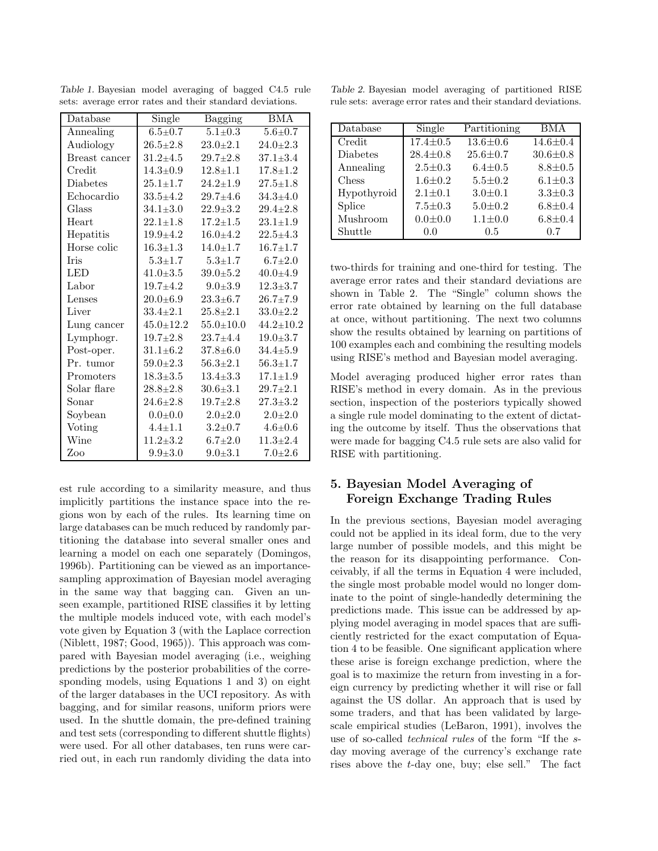| Database      | Single<br>Bagging                    |                 | <b>BMA</b>      |
|---------------|--------------------------------------|-----------------|-----------------|
| Annealing     | $\overline{5.1}$ ±0.3<br>$6.5 + 0.7$ |                 | $5.6 + 0.7$     |
| Audiology     | $26.5 \pm 2.8$<br>$23.0 \pm 2.1$     |                 | $24.0 \pm 2.3$  |
| Breast cancer | $31.2 + 4.5$                         | $29.7 \pm 2.8$  | $37.1 + 3.4$    |
| Credit        | $14.3 \pm 0.9$                       | $12.8 \pm 1.1$  | $17.8 \pm 1.2$  |
| Diabetes      | $25.1 + 1.7$                         | $24.2 \pm 1.9$  | $27.5 \pm 1.8$  |
| Echocardio    | $33.5 + 4.2$<br>$29.7 + 4.6$         |                 | $34.3 + 4.0$    |
| Glass         | $34.1 \pm 3.0$                       | $22.9 + 3.2$    |                 |
| Heart         | $22.1 \pm 1.8$                       | $17.2{\pm}1.5$  | $23.1 + 1.9$    |
| Hepatitis     | $19.9 + 4.2$                         | $16.0 + 4.2$    | $22.5 + 4.3$    |
| Horse colic   | $16.3 \pm 1.3$                       | $14.0 \pm 1.7$  | $16.7 + 1.7$    |
| Iris          | $5.3 + 1.7$                          | $5.3 \pm 1.7$   | $6.7{\pm}2.0$   |
| LED           | $41.0 \pm 3.5$                       | $39.0 + 5.2$    | $40.0 + 4.9$    |
| Labor         | $19.7 + 4.2$                         | $9.0 \pm 3.9$   | $12.3 + 3.7$    |
| Lenses        | $20.0 + 6.9$                         | $23.3 \pm 6.7$  | $26.7 \pm 7.9$  |
| Liver         | $33.4 \pm 2.1$                       | $25.8 \pm 2.1$  | $33.0 \pm 2.2$  |
| Lung cancer   | $45.0 \pm 12.2$                      | $55.0 \pm 10.0$ | $44.2 \pm 10.2$ |
| Lymphogr.     | $19.7 + 2.8$                         | $23.7 + 4.4$    | $19.0 \pm 3.7$  |
| Post-oper.    | $31.1 + 6.2$                         | $37.8 \pm 6.0$  | $34.4 + 5.9$    |
| Pr. tumor     | $59.0 \pm 2.3$                       | $56.3 \pm 2.1$  | $56.3 \pm 1.7$  |
| Promoters     | $18.3 \pm 3.5$                       | $13.4 \pm 3.3$  | $17.1 \pm 1.9$  |
| Solar flare   | $28.8 \pm 2.8$                       | $30.6 \pm 3.1$  | $29.7 \pm 2.1$  |
| Sonar         | $24.6 \pm 2.8$                       | $19.7 + 2.8$    | $27.3 \pm 3.2$  |
| Soybean       | $0.0{\pm}0.0$                        | $2.0 \pm 2.0$   | $2.0 \pm 2.0$   |
| Voting        | $4.4 \pm 1.1$                        | $3.2 \pm 0.7$   | $4.6 + 0.6$     |
| Wine          | $11.2 + 3.2$                         | $6.7{\pm}2.0$   | $11.3 \pm 2.4$  |
| Zoo           | $9.9 + 3.0$                          | $9.0 + 3.1$     | $7.0 + 2.6$     |

Table 1. Bayesian model averaging of bagged C4.5 rule sets: average error rates and their standard deviations.

est rule according to a similarity measure, and thus implicitly partitions the instance space into the regions won by each of the rules. Its learning time on large databases can be much reduced by randomly partitioning the database into several smaller ones and learning a model on each one separately (Domingos, 1996b). Partitioning can be viewed as an importancesampling approximation of Bayesian model averaging in the same way that bagging can. Given an unseen example, partitioned RISE classifies it by letting the multiple models induced vote, with each model's vote given by Equation 3 (with the Laplace correction (Niblett, 1987; Good, 1965)). This approach was compared with Bayesian model averaging (i.e., weighing predictions by the posterior probabilities of the corresponding models, using Equations 1 and 3) on eight of the larger databases in the UCI repository. As with bagging, and for similar reasons, uniform priors were used. In the shuttle domain, the pre-defined training and test sets (corresponding to different shuttle flights) were used. For all other databases, ten runs were carried out, in each run randomly dividing the data into

Table 2. Bayesian model averaging of partitioned RISE rule sets: average error rates and their standard deviations.

| Database        | Single         | Partitioning   | <b>BMA</b>     |
|-----------------|----------------|----------------|----------------|
| Credit          | $17.4 \pm 0.5$ | $13.6 \pm 0.6$ | $14.6 \pm 0.4$ |
| <b>Diabetes</b> | $28.4 \pm 0.8$ | $25.6 \pm 0.7$ | $30.6 \pm 0.8$ |
| Annealing       | $2.5 \pm 0.3$  | $6.4 \pm 0.5$  | $8.8 \pm 0.5$  |
| Chess           | $1.6 \pm 0.2$  | $5.5 \pm 0.2$  | $6.1 \pm 0.3$  |
| Hypothyroid     | $2.1 \pm 0.1$  | $3.0 \pm 0.1$  | $3.3 \pm 0.3$  |
| Splice          | $7.5 \pm 0.3$  | $5.0 \pm 0.2$  | $6.8 \pm 0.4$  |
| Mushroom        | $0.0 \pm 0.0$  | $1.1 \pm 0.0$  | $6.8 \pm 0.4$  |
| Shuttle         | 0.0            | $0.5\,$        | 0.7            |

two-thirds for training and one-third for testing. The average error rates and their standard deviations are shown in Table 2. The "Single" column shows the error rate obtained by learning on the full database at once, without partitioning. The next two columns show the results obtained by learning on partitions of 100 examples each and combining the resulting models using RISE's method and Bayesian model averaging.

Model averaging produced higher error rates than RISE's method in every domain. As in the previous section, inspection of the posteriors typically showed a single rule model dominating to the extent of dictating the outcome by itself. Thus the observations that were made for bagging C4.5 rule sets are also valid for RISE with partitioning.

### 5. Bayesian Model Averaging of Foreign Exchange Trading Rules

In the previous sections, Bayesian model averaging could not be applied in its ideal form, due to the very large number of possible models, and this might be the reason for its disappointing performance. Conceivably, if all the terms in Equation 4 were included, the single most probable model would no longer dominate to the point of single-handedly determining the predictions made. This issue can be addressed by applying model averaging in model spaces that are sufficiently restricted for the exact computation of Equation 4 to be feasible. One significant application where these arise is foreign exchange prediction, where the goal is to maximize the return from investing in a foreign currency by predicting whether it will rise or fall against the US dollar. An approach that is used by some traders, and that has been validated by largescale empirical studies (LeBaron, 1991), involves the use of so-called *technical rules* of the form "If the sday moving average of the currency's exchange rate rises above the t-day one, buy; else sell." The fact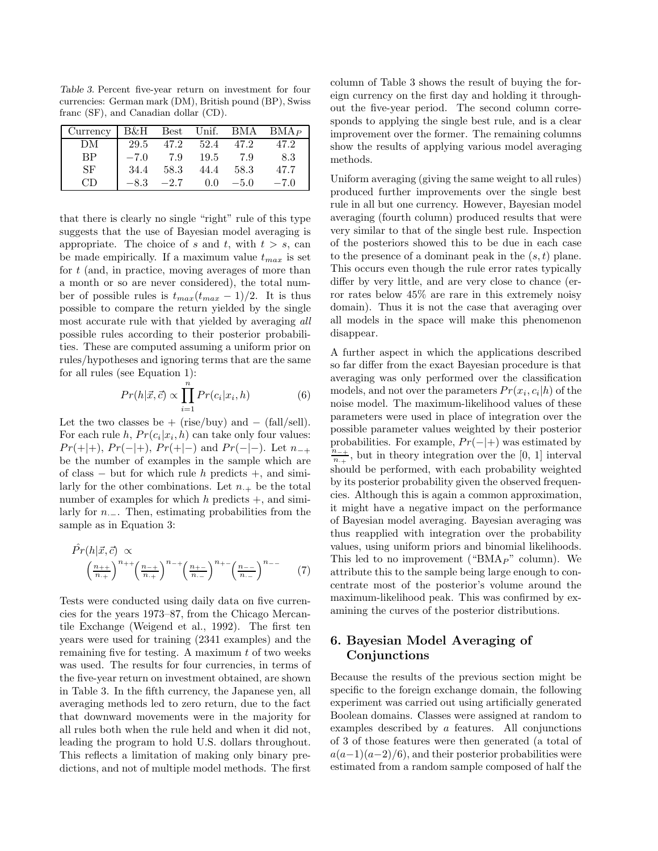Table 3. Percent five-year return on investment for four currencies: German mark (DM), British pound (BP), Swiss franc (SF), and Canadian dollar (CD).

| Currency B&H Best Unif. BMA BMA <sub>P</sub> |        |        |      |        |        |
|----------------------------------------------|--------|--------|------|--------|--------|
| DM                                           | 29.5   | 47.2   | 52.4 | 47.2   | 47.2   |
| <b>RP</b>                                    | $-7.0$ | 7.9    | 19.5 | 7.9    | 8.3    |
| SF                                           | 34.4   | 58.3   | 44.4 | 58.3   | 47.7   |
| СĐ                                           | $-8.3$ | $-2.7$ | 0.0  | $-5.0$ | $-7.0$ |

that there is clearly no single "right" rule of this type suggests that the use of Bayesian model averaging is appropriate. The choice of s and t, with  $t > s$ , can be made empirically. If a maximum value  $t_{max}$  is set for  $t$  (and, in practice, moving averages of more than a month or so are never considered), the total number of possible rules is  $t_{max}(t_{max} - 1)/2$ . It is thus possible to compare the return yielded by the single most accurate rule with that yielded by averaging all possible rules according to their posterior probabilities. These are computed assuming a uniform prior on rules/hypotheses and ignoring terms that are the same for all rules (see Equation 1):

$$
Pr(h|\vec{x}, \vec{c}) \propto \prod_{i=1}^{n} Pr(c_i|x_i, h)
$$
 (6)

Let the two classes be + (rise/buy) and  $-$  (fall/sell). For each rule h,  $Pr(c_i | x_i, h)$  can take only four values:  $Pr(+|+)$ ,  $Pr(-|+)$ ,  $Pr(+|-)$  and  $Pr(-|-)$ . Let  $n_{-+}$ be the number of examples in the sample which are of class  $-$  but for which rule h predicts  $+$ , and similarly for the other combinations. Let  $n_{+}$  be the total number of examples for which  $h$  predicts  $+$ , and similarly for  $n_$ −. Then, estimating probabilities from the sample as in Equation 3:

$$
\hat{Pr}(h|\vec{x}, \vec{c}) \propto \left(\frac{n_{++}}{n_{+}}\right)^{n_{++}} \left(\frac{n_{-+}}{n_{-}}\right)^{n_{-+}} \left(\frac{n_{+-}}{n_{--}}\right)^{n_{+-}} \left(\frac{n_{--}}{n_{--}}\right)^{n_{--}} \tag{7}
$$

Tests were conducted using daily data on five currencies for the years 1973–87, from the Chicago Mercantile Exchange (Weigend et al., 1992). The first ten years were used for training (2341 examples) and the remaining five for testing. A maximum  $t$  of two weeks was used. The results for four currencies, in terms of the five-year return on investment obtained, are shown in Table 3. In the fifth currency, the Japanese yen, all averaging methods led to zero return, due to the fact that downward movements were in the majority for all rules both when the rule held and when it did not, leading the program to hold U.S. dollars throughout. This reflects a limitation of making only binary predictions, and not of multiple model methods. The first column of Table 3 shows the result of buying the foreign currency on the first day and holding it throughout the five-year period. The second column corresponds to applying the single best rule, and is a clear improvement over the former. The remaining columns show the results of applying various model averaging methods.

Uniform averaging (giving the same weight to all rules) produced further improvements over the single best rule in all but one currency. However, Bayesian model averaging (fourth column) produced results that were very similar to that of the single best rule. Inspection of the posteriors showed this to be due in each case to the presence of a dominant peak in the  $(s,t)$  plane. This occurs even though the rule error rates typically differ by very little, and are very close to chance (error rates below 45% are rare in this extremely noisy domain). Thus it is not the case that averaging over all models in the space will make this phenomenon disappear.

A further aspect in which the applications described so far differ from the exact Bayesian procedure is that averaging was only performed over the classification models, and not over the parameters  $Pr(x_i, c_i | h)$  of the noise model. The maximum-likelihood values of these parameters were used in place of integration over the possible parameter values weighted by their posterior probabilities. For example,  $Pr(-|+)$  was estimated by  $n_{-+}$  $\frac{n_{-+}}{n_{++}}$ , but in theory integration over the [0, 1] interval should be performed, with each probability weighted by its posterior probability given the observed frequencies. Although this is again a common approximation, it might have a negative impact on the performance of Bayesian model averaging. Bayesian averaging was thus reapplied with integration over the probability values, using uniform priors and binomial likelihoods. This led to no improvement (" $BMA<sub>P</sub>$ " column). We attribute this to the sample being large enough to concentrate most of the posterior's volume around the maximum-likelihood peak. This was confirmed by examining the curves of the posterior distributions.

# 6. Bayesian Model Averaging of Conjunctions

Because the results of the previous section might be specific to the foreign exchange domain, the following experiment was carried out using artificially generated Boolean domains. Classes were assigned at random to examples described by a features. All conjunctions of 3 of those features were then generated (a total of  $a(a-1)(a-2)/6$ , and their posterior probabilities were estimated from a random sample composed of half the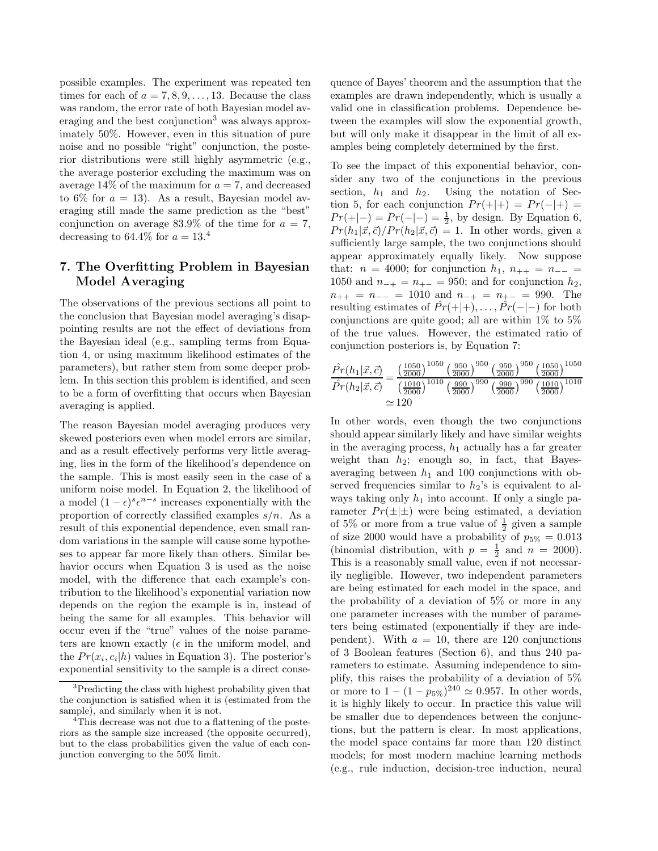possible examples. The experiment was repeated ten times for each of  $a = 7, 8, 9, \ldots, 13$ . Because the class was random, the error rate of both Bayesian model averaging and the best conjunction<sup>3</sup> was always approximately 50%. However, even in this situation of pure noise and no possible "right" conjunction, the posterior distributions were still highly asymmetric (e.g., the average posterior excluding the maximum was on average  $14\%$  of the maximum for  $a = 7$ , and decreased to 6% for  $a = 13$ ). As a result, Bayesian model averaging still made the same prediction as the "best" conjunction on average  $83.9\%$  of the time for  $a = 7$ , decreasing to 64.4% for  $a = 13.4$ 

### 7. The Overfitting Problem in Bayesian Model Averaging

The observations of the previous sections all point to the conclusion that Bayesian model averaging's disappointing results are not the effect of deviations from the Bayesian ideal (e.g., sampling terms from Equation 4, or using maximum likelihood estimates of the parameters), but rather stem from some deeper problem. In this section this problem is identified, and seen to be a form of overfitting that occurs when Bayesian averaging is applied.

The reason Bayesian model averaging produces very skewed posteriors even when model errors are similar, and as a result effectively performs very little averaging, lies in the form of the likelihood's dependence on the sample. This is most easily seen in the case of a uniform noise model. In Equation 2, the likelihood of a model  $(1 - \epsilon)^s \epsilon^{n-s}$  increases exponentially with the proportion of correctly classified examples  $s/n$ . As a result of this exponential dependence, even small random variations in the sample will cause some hypotheses to appear far more likely than others. Similar behavior occurs when Equation 3 is used as the noise model, with the difference that each example's contribution to the likelihood's exponential variation now depends on the region the example is in, instead of being the same for all examples. This behavior will occur even if the "true" values of the noise parameters are known exactly ( $\epsilon$  in the uniform model, and the  $Pr(x_i, c_i | h)$  values in Equation 3). The posterior's exponential sensitivity to the sample is a direct consequence of Bayes' theorem and the assumption that the examples are drawn independently, which is usually a valid one in classification problems. Dependence between the examples will slow the exponential growth, but will only make it disappear in the limit of all examples being completely determined by the first.

To see the impact of this exponential behavior, consider any two of the conjunctions in the previous section,  $h_1$  and  $h_2$ . Using the notation of Section 5, for each conjunction  $Pr(+|+) = Pr(-|+) =$  $Pr(+|-) = Pr(-|-) = \frac{1}{2}$ , by design. By Equation 6,  $Pr(h_1|\vec{x},\vec{c})/Pr(h_2|\vec{x},\vec{c}) = 1.$  In other words, given a sufficiently large sample, the two conjunctions should appear approximately equally likely. Now suppose that:  $n = 4000$ ; for conjunction  $h_1, n_{++} = n_{--} =$ 1050 and  $n_{-+} = n_{+-} = 950$ ; and for conjunction  $h_2$ ,  $n_{++} = n_{--} = 1010$  and  $n_{-+} = n_{+-} = 990$ . The resulting estimates of  $\hat{Pr}(+|+)$ , ...,  $\hat{Pr}(-|-)$  for both conjunctions are quite good; all are within  $1\%$  to  $5\%$ of the true values. However, the estimated ratio of conjunction posteriors is, by Equation 7:

$$
\frac{\hat{Pr}(h_1|\vec{x}, \vec{c})}{\hat{Pr}(h_2|\vec{x}, \vec{c})} = \frac{\left(\frac{1050}{2000}\right)^{1050} \left(\frac{950}{2000}\right)^{950} \left(\frac{950}{2000}\right)^{950} \left(\frac{1050}{2000}\right)^{1050}}{\left(\frac{1010}{2000}\right)^{1010} \left(\frac{990}{2000}\right)^{990} \left(\frac{990}{2000}\right)^{990} \left(\frac{1010}{2000}\right)^{1010}}
$$

$$
\approx 120
$$

In other words, even though the two conjunctions should appear similarly likely and have similar weights in the averaging process,  $h_1$  actually has a far greater weight than  $h_2$ ; enough so, in fact, that Bayesaveraging between  $h_1$  and 100 conjunctions with observed frequencies similar to  $h_2$ 's is equivalent to always taking only  $h_1$  into account. If only a single parameter  $Pr(\pm|\pm)$  were being estimated, a deviation of 5% or more from a true value of  $\frac{1}{2}$  given a sample of size 2000 would have a probability of  $p_{5%} = 0.013$ (binomial distribution, with  $p = \frac{1}{2}$  and  $n = 2000$ ). This is a reasonably small value, even if not necessarily negligible. However, two independent parameters are being estimated for each model in the space, and the probability of a deviation of 5% or more in any one parameter increases with the number of parameters being estimated (exponentially if they are independent). With  $a = 10$ , there are 120 conjunctions of 3 Boolean features (Section 6), and thus 240 parameters to estimate. Assuming independence to simplify, this raises the probability of a deviation of 5% or more to  $1 - (1 - p_{5\%})^{240} \simeq 0.957$ . In other words, it is highly likely to occur. In practice this value will be smaller due to dependences between the conjunctions, but the pattern is clear. In most applications, the model space contains far more than 120 distinct models; for most modern machine learning methods (e.g., rule induction, decision-tree induction, neural

<sup>&</sup>lt;sup>3</sup>Predicting the class with highest probability given that the conjunction is satisfied when it is (estimated from the sample), and similarly when it is not.

<sup>&</sup>lt;sup>4</sup>This decrease was not due to a flattening of the posteriors as the sample size increased (the opposite occurred), but to the class probabilities given the value of each conjunction converging to the 50% limit.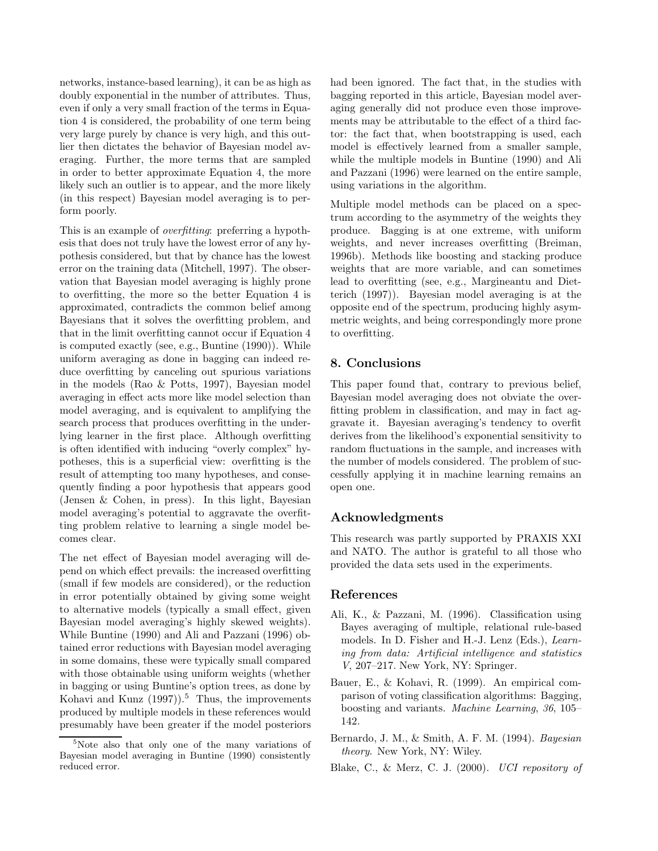networks, instance-based learning), it can be as high as doubly exponential in the number of attributes. Thus, even if only a very small fraction of the terms in Equation 4 is considered, the probability of one term being very large purely by chance is very high, and this outlier then dictates the behavior of Bayesian model averaging. Further, the more terms that are sampled in order to better approximate Equation 4, the more likely such an outlier is to appear, and the more likely (in this respect) Bayesian model averaging is to perform poorly.

This is an example of *overfitting*: preferring a hypothesis that does not truly have the lowest error of any hypothesis considered, but that by chance has the lowest error on the training data (Mitchell, 1997). The observation that Bayesian model averaging is highly prone to overfitting, the more so the better Equation 4 is approximated, contradicts the common belief among Bayesians that it solves the overfitting problem, and that in the limit overfitting cannot occur if Equation 4 is computed exactly (see, e.g., Buntine (1990)). While uniform averaging as done in bagging can indeed reduce overfitting by canceling out spurious variations in the models (Rao & Potts, 1997), Bayesian model averaging in effect acts more like model selection than model averaging, and is equivalent to amplifying the search process that produces overfitting in the underlying learner in the first place. Although overfitting is often identified with inducing "overly complex" hypotheses, this is a superficial view: overfitting is the result of attempting too many hypotheses, and consequently finding a poor hypothesis that appears good (Jensen & Cohen, in press). In this light, Bayesian model averaging's potential to aggravate the overfitting problem relative to learning a single model becomes clear.

The net effect of Bayesian model averaging will depend on which effect prevails: the increased overfitting (small if few models are considered), or the reduction in error potentially obtained by giving some weight to alternative models (typically a small effect, given Bayesian model averaging's highly skewed weights). While Buntine (1990) and Ali and Pazzani (1996) obtained error reductions with Bayesian model averaging in some domains, these were typically small compared with those obtainable using uniform weights (whether in bagging or using Buntine's option trees, as done by Kohavi and Kunz  $(1997)$ .<sup>5</sup> Thus, the improvements produced by multiple models in these references would presumably have been greater if the model posteriors had been ignored. The fact that, in the studies with bagging reported in this article, Bayesian model averaging generally did not produce even those improvements may be attributable to the effect of a third factor: the fact that, when bootstrapping is used, each model is effectively learned from a smaller sample, while the multiple models in Buntine (1990) and Ali and Pazzani (1996) were learned on the entire sample, using variations in the algorithm.

Multiple model methods can be placed on a spectrum according to the asymmetry of the weights they produce. Bagging is at one extreme, with uniform weights, and never increases overfitting (Breiman, 1996b). Methods like boosting and stacking produce weights that are more variable, and can sometimes lead to overfitting (see, e.g., Margineantu and Dietterich (1997)). Bayesian model averaging is at the opposite end of the spectrum, producing highly asymmetric weights, and being correspondingly more prone to overfitting.

#### 8. Conclusions

This paper found that, contrary to previous belief, Bayesian model averaging does not obviate the overfitting problem in classification, and may in fact aggravate it. Bayesian averaging's tendency to overfit derives from the likelihood's exponential sensitivity to random fluctuations in the sample, and increases with the number of models considered. The problem of successfully applying it in machine learning remains an open one.

#### Acknowledgments

This research was partly supported by PRAXIS XXI and NATO. The author is grateful to all those who provided the data sets used in the experiments.

#### References

- Ali, K., & Pazzani, M. (1996). Classification using Bayes averaging of multiple, relational rule-based models. In D. Fisher and H.-J. Lenz (Eds.), Learning from data: Artificial intelligence and statistics V, 207–217. New York, NY: Springer.
- Bauer, E., & Kohavi, R. (1999). An empirical comparison of voting classification algorithms: Bagging, boosting and variants. Machine Learning, 36, 105– 142.
- Bernardo, J. M., & Smith, A. F. M. (1994). Bayesian theory. New York, NY: Wiley.
- Blake, C., & Merz, C. J. (2000). UCI repository of

<sup>&</sup>lt;sup>5</sup>Note also that only one of the many variations of Bayesian model averaging in Buntine (1990) consistently reduced error.